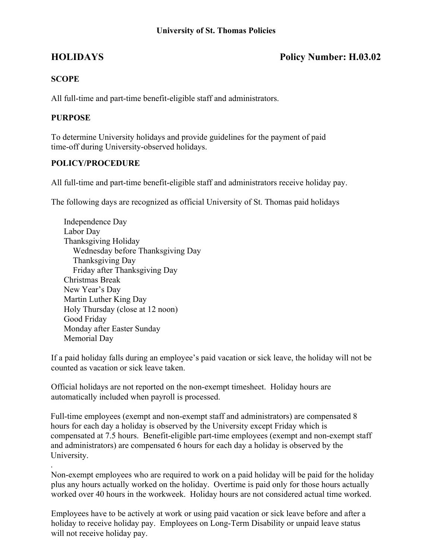# **HOLIDAYS Policy Number: H.03.02**

## **SCOPE**

All full-time and part-time benefit-eligible staff and administrators.

### **PURPOSE**

To determine University holidays and provide guidelines for the payment of paid time-off during University-observed holidays.

## **POLICY/PROCEDURE**

All full-time and part-time benefit-eligible staff and administrators receive holiday pay.

The following days are recognized as official University of St. Thomas paid holidays

Independence Day Labor Day Thanksgiving Holiday Wednesday before Thanksgiving Day Thanksgiving Day Friday after Thanksgiving Day Christmas Break New Year's Day Martin Luther King Day Holy Thursday (close at 12 noon) Good Friday Monday after Easter Sunday Memorial Day

If a paid holiday falls during an employee's paid vacation or sick leave, the holiday will not be counted as vacation or sick leave taken.

Official holidays are not reported on the non-exempt timesheet. Holiday hours are automatically included when payroll is processed.

Full-time employees (exempt and non-exempt staff and administrators) are compensated 8 hours for each day a holiday is observed by the University except Friday which is compensated at 7.5 hours. Benefit-eligible part-time employees (exempt and non-exempt staff and administrators) are compensated 6 hours for each day a holiday is observed by the University.

. Non-exempt employees who are required to work on a paid holiday will be paid for the holiday plus any hours actually worked on the holiday. Overtime is paid only for those hours actually worked over 40 hours in the workweek. Holiday hours are not considered actual time worked.

Employees have to be actively at work or using paid vacation or sick leave before and after a holiday to receive holiday pay. Employees on Long-Term Disability or unpaid leave status will not receive holiday pay.